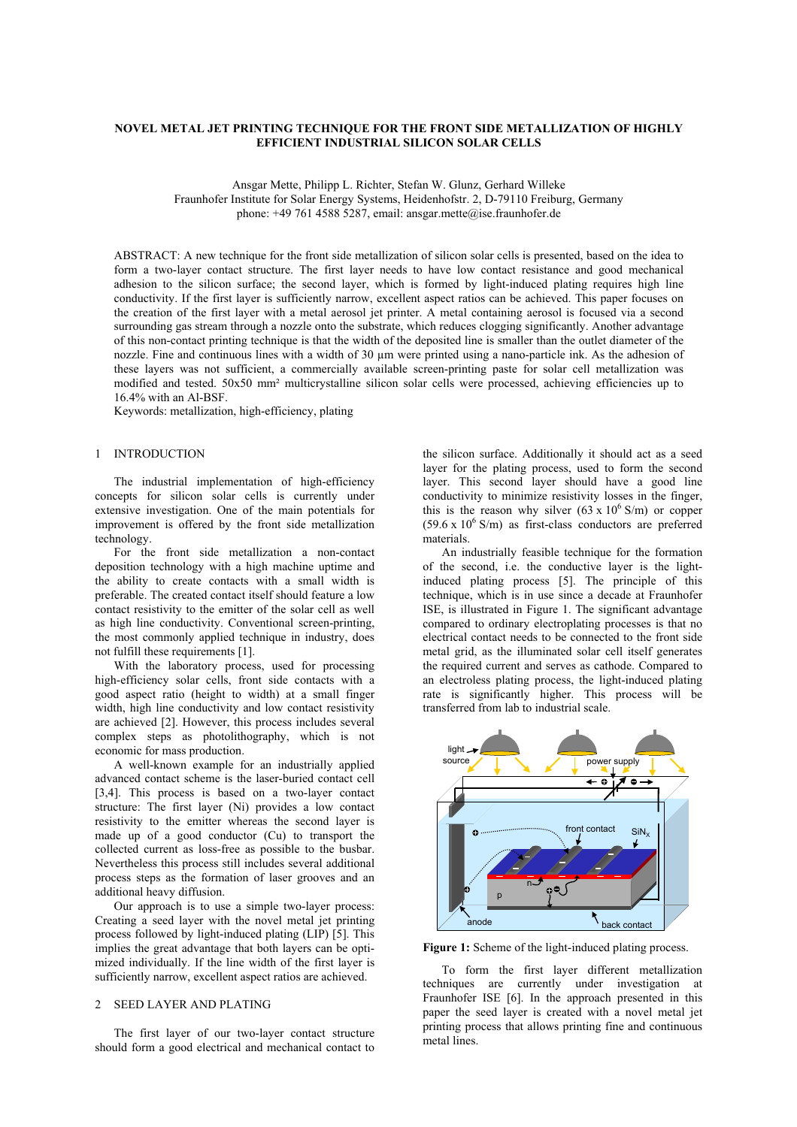# **NOVEL METAL JET PRINTING TECHNIQUE FOR THE FRONT SIDE METALLIZATION OF HIGHLY EFFICIENT INDUSTRIAL SILICON SOLAR CELLS**

Ansgar Mette, Philipp L. Richter, Stefan W. Glunz, Gerhard Willeke Fraunhofer Institute for Solar Energy Systems, Heidenhofstr. 2, D-79110 Freiburg, Germany phone: +49 761 4588 5287, email: ansgar.mette@ise.fraunhofer.de

ABSTRACT: A new technique for the front side metallization of silicon solar cells is presented, based on the idea to form a two-layer contact structure. The first layer needs to have low contact resistance and good mechanical adhesion to the silicon surface; the second layer, which is formed by light-induced plating requires high line conductivity. If the first layer is sufficiently narrow, excellent aspect ratios can be achieved. This paper focuses on the creation of the first layer with a metal aerosol jet printer. A metal containing aerosol is focused via a second surrounding gas stream through a nozzle onto the substrate, which reduces clogging significantly. Another advantage of this non-contact printing technique is that the width of the deposited line is smaller than the outlet diameter of the nozzle. Fine and continuous lines with a width of 30  $\mu$ m were printed using a nano-particle ink. As the adhesion of these layers was not sufficient, a commercially available screen-printing paste for solar cell metallization was modified and tested. 50x50 mm² multicrystalline silicon solar cells were processed, achieving efficiencies up to 16.4% with an Al-BSF.

Keywords: metallization, high-efficiency, plating

#### 1 INTRODUCTION

The industrial implementation of high-efficiency concepts for silicon solar cells is currently under extensive investigation. One of the main potentials for improvement is offered by the front side metallization technology.

For the front side metallization a non-contact deposition technology with a high machine uptime and the ability to create contacts with a small width is preferable. The created contact itself should feature a low contact resistivity to the emitter of the solar cell as well as high line conductivity. Conventional screen-printing, the most commonly applied technique in industry, does not fulfill these requirements [1].

With the laboratory process, used for processing high-efficiency solar cells, front side contacts with a good aspect ratio (height to width) at a small finger width, high line conductivity and low contact resistivity are achieved [2]. However, this process includes several complex steps as photolithography, which is not economic for mass production.

A well-known example for an industrially applied advanced contact scheme is the laser-buried contact cell [3,4]. This process is based on a two-layer contact structure: The first layer (Ni) provides a low contact resistivity to the emitter whereas the second layer is made up of a good conductor (Cu) to transport the collected current as loss-free as possible to the busbar. Nevertheless this process still includes several additional process steps as the formation of laser grooves and an additional heavy diffusion.

Our approach is to use a simple two-layer process: Creating a seed layer with the novel metal jet printing process followed by light-induced plating (LIP) [5]. This implies the great advantage that both layers can be optimized individually. If the line width of the first layer is sufficiently narrow, excellent aspect ratios are achieved.

## 2 SEED LAYER AND PLATING

 The first layer of our two-layer contact structure should form a good electrical and mechanical contact to the silicon surface. Additionally it should act as a seed layer for the plating process, used to form the second layer. This second layer should have a good line conductivity to minimize resistivity losses in the finger, this is the reason why silver  $(63 \times 10^6 \text{ S/m})$  or copper  $(59.6 \times 10^6 \text{ S/m})$  as first-class conductors are preferred materials.

 An industrially feasible technique for the formation of the second, i.e. the conductive layer is the lightinduced plating process [5]. The principle of this technique, which is in use since a decade at Fraunhofer ISE, is illustrated in Figure 1. The significant advantage compared to ordinary electroplating processes is that no electrical contact needs to be connected to the front side metal grid, as the illuminated solar cell itself generates the required current and serves as cathode. Compared to an electroless plating process, the light-induced plating rate is significantly higher. This process will be transferred from lab to industrial scale.



Figure 1: Scheme of the light-induced plating process.

 To form the first layer different metallization techniques are currently under investigation at Fraunhofer ISE [6]. In the approach presented in this paper the seed layer is created with a novel metal jet printing process that allows printing fine and continuous metal lines.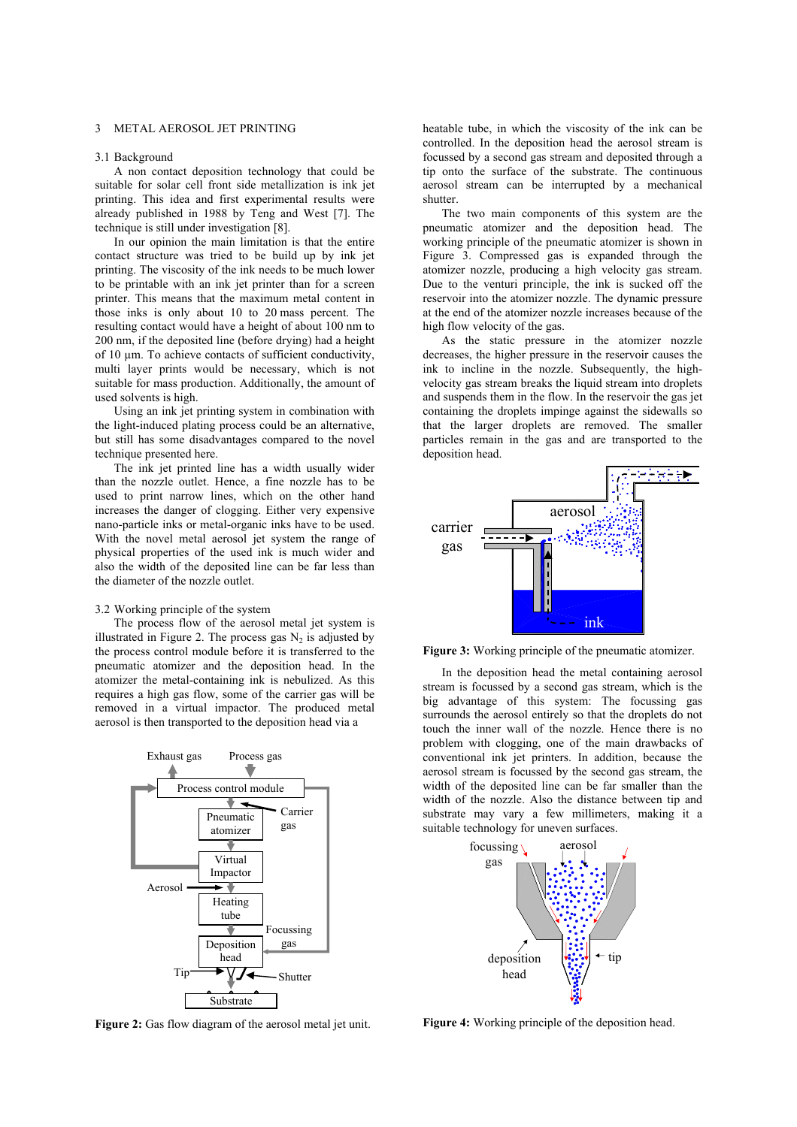#### 3 METAL AEROSOL JET PRINTING

#### 3.1 Background

 A non contact deposition technology that could be suitable for solar cell front side metallization is ink jet printing. This idea and first experimental results were already published in 1988 by Teng and West [7]. The technique is still under investigation [8].

 In our opinion the main limitation is that the entire contact structure was tried to be build up by ink jet printing. The viscosity of the ink needs to be much lower to be printable with an ink jet printer than for a screen printer. This means that the maximum metal content in those inks is only about 10 to 20 mass percent. The resulting contact would have a height of about 100 nm to 200 nm, if the deposited line (before drying) had a height of 10 µm. To achieve contacts of sufficient conductivity, multi layer prints would be necessary, which is not suitable for mass production. Additionally, the amount of used solvents is high.

 Using an ink jet printing system in combination with the light-induced plating process could be an alternative, but still has some disadvantages compared to the novel technique presented here.

 The ink jet printed line has a width usually wider than the nozzle outlet. Hence, a fine nozzle has to be used to print narrow lines, which on the other hand increases the danger of clogging. Either very expensive nano-particle inks or metal-organic inks have to be used. With the novel metal aerosol jet system the range of physical properties of the used ink is much wider and also the width of the deposited line can be far less than the diameter of the nozzle outlet.

#### 3.2 Working principle of the system

 The process flow of the aerosol metal jet system is illustrated in Figure 2. The process gas  $N_2$  is adjusted by the process control module before it is transferred to the pneumatic atomizer and the deposition head. In the atomizer the metal-containing ink is nebulized. As this requires a high gas flow, some of the carrier gas will be removed in a virtual impactor. The produced metal aerosol is then transported to the deposition head via a



Figure 2: Gas flow diagram of the aerosol metal jet unit.

heatable tube, in which the viscosity of the ink can be controlled. In the deposition head the aerosol stream is focussed by a second gas stream and deposited through a tip onto the surface of the substrate. The continuous aerosol stream can be interrupted by a mechanical shutter.

 The two main components of this system are the pneumatic atomizer and the deposition head. The working principle of the pneumatic atomizer is shown in Figure 3. Compressed gas is expanded through the atomizer nozzle, producing a high velocity gas stream. Due to the venturi principle, the ink is sucked off the reservoir into the atomizer nozzle. The dynamic pressure at the end of the atomizer nozzle increases because of the high flow velocity of the gas.

 As the static pressure in the atomizer nozzle decreases, the higher pressure in the reservoir causes the ink to incline in the nozzle. Subsequently, the highvelocity gas stream breaks the liquid stream into droplets and suspends them in the flow. In the reservoir the gas jet containing the droplets impinge against the sidewalls so that the larger droplets are removed. The smaller particles remain in the gas and are transported to the deposition head.



**Figure 3:** Working principle of the pneumatic atomizer.

 In the deposition head the metal containing aerosol stream is focussed by a second gas stream, which is the big advantage of this system: The focussing gas surrounds the aerosol entirely so that the droplets do not touch the inner wall of the nozzle. Hence there is no problem with clogging, one of the main drawbacks of conventional ink jet printers. In addition, because the aerosol stream is focussed by the second gas stream, the width of the deposited line can be far smaller than the width of the nozzle. Also the distance between tip and substrate may vary a few millimeters, making it a suitable technology for uneven surfaces.



**Figure 4:** Working principle of the deposition head.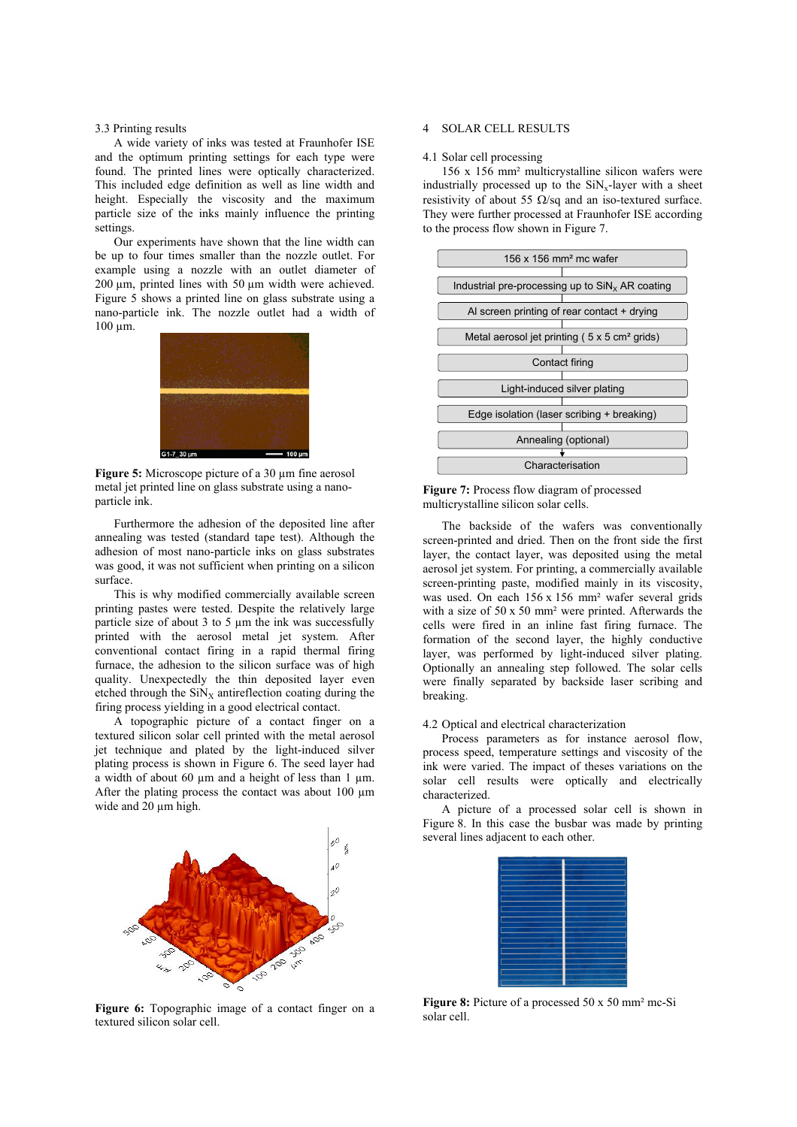#### 3.3 Printing results

 A wide variety of inks was tested at Fraunhofer ISE and the optimum printing settings for each type were found. The printed lines were optically characterized. This included edge definition as well as line width and height. Especially the viscosity and the maximum particle size of the inks mainly influence the printing settings.

 Our experiments have shown that the line width can be up to four times smaller than the nozzle outlet. For example using a nozzle with an outlet diameter of 200 µm, printed lines with 50 µm width were achieved. Figure 5 shows a printed line on glass substrate using a nano-particle ink. The nozzle outlet had a width of 100 µm.



**Figure 5:** Microscope picture of a 30 µm fine aerosol metal jet printed line on glass substrate using a nanoparticle ink.

 Furthermore the adhesion of the deposited line after annealing was tested (standard tape test). Although the adhesion of most nano-particle inks on glass substrates was good, it was not sufficient when printing on a silicon surface.

 This is why modified commercially available screen printing pastes were tested. Despite the relatively large particle size of about 3 to 5 µm the ink was successfully printed with the aerosol metal jet system. After conventional contact firing in a rapid thermal firing furnace, the adhesion to the silicon surface was of high quality. Unexpectedly the thin deposited layer even etched through the  $\text{SiN}_X$  antireflection coating during the firing process yielding in a good electrical contact.

 A topographic picture of a contact finger on a textured silicon solar cell printed with the metal aerosol jet technique and plated by the light-induced silver plating process is shown in Figure 6. The seed layer had a width of about 60  $\mu$ m and a height of less than 1  $\mu$ m. After the plating process the contact was about  $100 \mu m$ wide and 20  $\mu$ m high.



**Figure 6:** Topographic image of a contact finger on a textured silicon solar cell.

#### 4 SOLAR CELL RESULTS

#### 4.1 Solar cell processing

156 x 156 mm² multicrystalline silicon wafers were industrially processed up to the  $\text{SiN}_x$ -layer with a sheet resistivity of about 55  $\Omega$ /sq and an iso-textured surface. They were further processed at Fraunhofer ISE according to the process flow shown in Figure 7.





The backside of the wafers was conventionally screen-printed and dried. Then on the front side the first layer, the contact layer, was deposited using the metal aerosol jet system. For printing, a commercially available screen-printing paste, modified mainly in its viscosity, was used. On each 156 x 156 mm² wafer several grids with a size of 50 x 50 mm² were printed. Afterwards the cells were fired in an inline fast firing furnace. The formation of the second layer, the highly conductive layer, was performed by light-induced silver plating. Optionally an annealing step followed. The solar cells were finally separated by backside laser scribing and breaking.

#### 4.2 Optical and electrical characterization

 Process parameters as for instance aerosol flow, process speed, temperature settings and viscosity of the ink were varied. The impact of theses variations on the solar cell results were optically and electrically characterized.

 A picture of a processed solar cell is shown in Figure 8. In this case the busbar was made by printing several lines adjacent to each other.



**Figure 8:** Picture of a processed 50 x 50 mm² mc-Si solar cell.